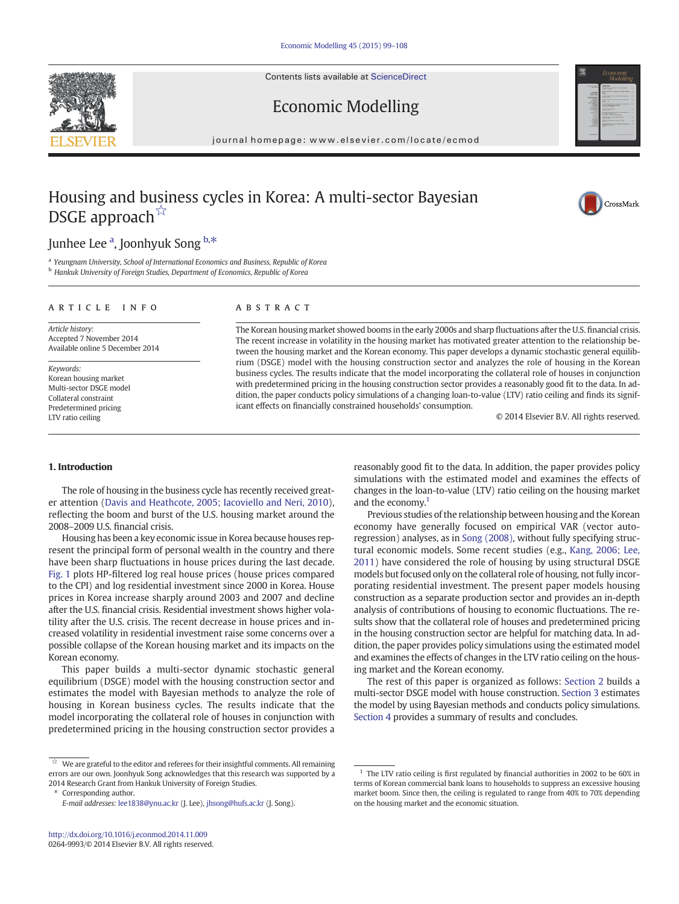Contents lists available at [ScienceDirect](http://www.sciencedirect.com/science/journal/02649993)





## Economic Modelling

journal homepage: www.elsevier.com/locate/ecmod

## Housing and business cycles in Korea: A multi-sector Bayesian DSGE approach<sup>☆</sup>



## Junhee Lee <sup>a</sup>, Joonhyuk Song <sup>b,\*</sup>

<sup>a</sup> Yeungnam University, School of International Economics and Business, Republic of Korea **b** Hankuk University of Foreign Studies, Department of Economics, Republic of Korea

#### article info abstract

Article history: Accepted 7 November 2014 Available online 5 December 2014

Keywords: Korean housing market Multi-sector DSGE model Collateral constraint Predetermined pricing LTV ratio ceiling

The Korean housing market showed booms in the early 2000s and sharp fluctuations after the U.S. financial crisis. The recent increase in volatility in the housing market has motivated greater attention to the relationship between the housing market and the Korean economy. This paper develops a dynamic stochastic general equilibrium (DSGE) model with the housing construction sector and analyzes the role of housing in the Korean business cycles. The results indicate that the model incorporating the collateral role of houses in conjunction with predetermined pricing in the housing construction sector provides a reasonably good fit to the data. In addition, the paper conducts policy simulations of a changing loan-to-value (LTV) ratio ceiling and finds its significant effects on financially constrained households' consumption.

© 2014 Elsevier B.V. All rights reserved.

### 1. Introduction

The role of housing in the business cycle has recently received greater attention [\(Davis and Heathcote, 2005; Iacoviello and Neri, 2010](#page--1-0)), reflecting the boom and burst of the U.S. housing market around the 2008–2009 U.S. financial crisis.

Housing has been a key economic issue in Korea because houses represent the principal form of personal wealth in the country and there have been sharp fluctuations in house prices during the last decade. [Fig. 1](#page-1-0) plots HP-filtered log real house prices (house prices compared to the CPI) and log residential investment since 2000 in Korea. House prices in Korea increase sharply around 2003 and 2007 and decline after the U.S. financial crisis. Residential investment shows higher volatility after the U.S. crisis. The recent decrease in house prices and increased volatility in residential investment raise some concerns over a possible collapse of the Korean housing market and its impacts on the Korean economy.

This paper builds a multi-sector dynamic stochastic general equilibrium (DSGE) model with the housing construction sector and estimates the model with Bayesian methods to analyze the role of housing in Korean business cycles. The results indicate that the model incorporating the collateral role of houses in conjunction with predetermined pricing in the housing construction sector provides a

⁎ Corresponding author.

reasonably good fit to the data. In addition, the paper provides policy simulations with the estimated model and examines the effects of changes in the loan-to-value (LTV) ratio ceiling on the housing market and the economy.<sup>1</sup>

Previous studies of the relationship between housing and the Korean economy have generally focused on empirical VAR (vector autoregression) analyses, as in [Song \(2008\)](#page--1-0), without fully specifying structural economic models. Some recent studies (e.g., [Kang, 2006; Lee,](#page--1-0) [2011\)](#page--1-0) have considered the role of housing by using structural DSGE models but focused only on the collateral role of housing, not fully incorporating residential investment. The present paper models housing construction as a separate production sector and provides an in-depth analysis of contributions of housing to economic fluctuations. The results show that the collateral role of houses and predetermined pricing in the housing construction sector are helpful for matching data. In addition, the paper provides policy simulations using the estimated model and examines the effects of changes in the LTV ratio ceiling on the housing market and the Korean economy.

The rest of this paper is organized as follows: [Section 2](#page-1-0) builds a multi-sector DSGE model with house construction. [Section 3](#page--1-0) estimates the model by using Bayesian methods and conducts policy simulations. [Section 4](#page--1-0) provides a summary of results and concludes.

 $\dot{\mathbb{X}}$  We are grateful to the editor and referees for their insightful comments. All remaining errors are our own. Joonhyuk Song acknowledges that this research was supported by a 2014 Research Grant from Hankuk University of Foreign Studies.

E-mail addresses: [lee1838@ynu.ac.kr](mailto:lee1838@ynu.ac.kr) (J. Lee), [jhsong@hufs.ac.kr](mailto:jhsong@hufs.ac.kr) (J. Song).

 $1$  The LTV ratio ceiling is first regulated by financial authorities in 2002 to be 60% in terms of Korean commercial bank loans to households to suppress an excessive housing market boom. Since then, the ceiling is regulated to range from 40% to 70% depending on the housing market and the economic situation.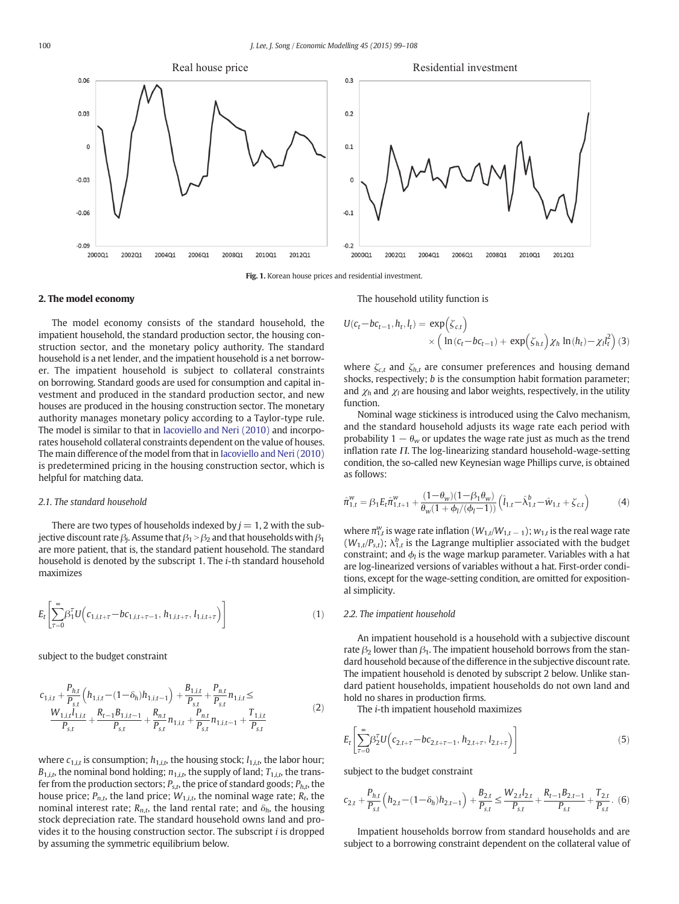<span id="page-1-0"></span>

Fig. 1. Korean house prices and residential investment.

#### 2. The model economy

The model economy consists of the standard household, the impatient household, the standard production sector, the housing construction sector, and the monetary policy authority. The standard household is a net lender, and the impatient household is a net borrower. The impatient household is subject to collateral constraints on borrowing. Standard goods are used for consumption and capital investment and produced in the standard production sector, and new houses are produced in the housing construction sector. The monetary authority manages monetary policy according to a Taylor-type rule. The model is similar to that in [Iacoviello and Neri \(2010\)](#page--1-0) and incorporates household collateral constraints dependent on the value of houses. The main difference of the model from that in [Iacoviello and Neri \(2010\)](#page--1-0) is predetermined pricing in the housing construction sector, which is helpful for matching data.

#### 2.1. The standard household

There are two types of households indexed by  $j = 1, 2$  with the subjective discount rate  $\beta_i$ . Assume that  $\beta_1 > \beta_2$  and that households with  $\beta_1$ are more patient, that is, the standard patient household. The standard household is denoted by the subscript 1. The i-th standard household maximizes

$$
E_t \left[ \sum_{\tau=0}^{\infty} \beta_1^{\tau} U \Big( c_{1,i,t+\tau} - bc_{1,i,t+\tau-1}, h_{1,i,t+\tau}, l_{1,i,t+\tau} \Big) \right]
$$
 (1)

subject to the budget constraint

$$
c_{1,i,t} + \frac{P_{h,t}}{P_{s,t}} \left( h_{1,i,t} - (1 - \delta_h) h_{1,i,t-1} \right) + \frac{B_{1,i,t}}{P_{s,t}} + \frac{P_{n,t}}{P_{s,t}} n_{1,i,t} \le
$$
  

$$
\frac{W_{1,i,t} l_{1,i,t}}{P_{s,t}} + \frac{R_{t-1} B_{1,i,t-1}}{P_{s,t}} + \frac{R_{n,t}}{P_{s,t}} n_{1,i,t} + \frac{P_{n,t}}{P_{s,t}} n_{1,i,t-1} + \frac{T_{1,i,t}}{P_{s,t}}
$$
 (2)

where  $c_{1,i,t}$  is consumption;  $h_{1,i,t}$ , the housing stock;  $l_{1,i,t}$ , the labor hour;  $B_{1,i,t}$ , the nominal bond holding;  $n_{1,i,t}$ , the supply of land;  $T_{1,i,t}$ , the transfer from the production sectors;  $P_{s,t}$ , the price of standard goods;  $P_{h,t}$ , the house price;  $P_{n,t}$ , the land price;  $W_{1,i,t}$ , the nominal wage rate;  $R_t$ , the nominal interest rate;  $R_{n,t}$ , the land rental rate; and  $\delta_h$ , the housing stock depreciation rate. The standard household owns land and provides it to the housing construction sector. The subscript i is dropped by assuming the symmetric equilibrium below.

The household utility function is

$$
U(c_t - bc_{t-1}, h_t, l_t) = \exp(\zeta_{c,t})
$$
  
 
$$
\times \left( \ln(c_t - bc_{t-1}) + \exp(\zeta_{h,t}) \chi_h \ln(h_t) - \chi_l l_t^2 \right)
$$
 (3)

where  $\zeta_{c,t}$  and  $\zeta_{h,t}$  are consumer preferences and housing demand shocks, respectively; b is the consumption habit formation parameter; and  $\chi_h$  and  $\chi_l$  are housing and labor weights, respectively, in the utility function.

Nominal wage stickiness is introduced using the Calvo mechanism, and the standard household adjusts its wage rate each period with probability 1  $\theta_w$  or updates the wage rate just as much as the trend inflation rate  $\Pi$ . The log-linearizing standard household-wage-setting condition, the so-called new Keynesian wage Phillips curve, is obtained as follows:

$$
\hat{\pi}_{1,t}^w = \beta_1 E_t \hat{\pi}_{1,t+1}^w + \frac{(1 - \theta_w)(1 - \beta_1 \theta_w)}{\theta_w (1 + \phi_l/(\phi_l - 1))} \left( \hat{l}_{1,t} - \hat{\lambda}_{1,t}^b - \hat{w}_{1,t} + \zeta_{c,t} \right)
$$
(4)

where  $\pi_{1,t}^w$  is wage rate inflation ( $W_{1,t}/W_{1,t-1}$ );  $w_{1,t}$  is the real wage rate  $(W_{1,t}/P_{s,t})$ ;  $\lambda_{1,t}^{b}$  is the Lagrange multiplier associated with the budget constraint; and  $\phi_l$  is the wage markup parameter. Variables with a hat are log-linearized versions of variables without a hat. First-order conditions, except for the wage-setting condition, are omitted for expositional simplicity.

#### 2.2. The impatient household

An impatient household is a household with a subjective discount rate  $\beta_2$  lower than  $\beta_1$ . The impatient household borrows from the standard household because of the difference in the subjective discount rate. The impatient household is denoted by subscript 2 below. Unlike standard patient households, impatient households do not own land and hold no shares in production firms.

The i-th impatient household maximizes

$$
E_t \left[ \sum_{\tau=0}^{\infty} \beta_2^{\tau} U \left( c_{2,t+\tau} - bc_{2,t+\tau-1}, h_{2,t+\tau}, l_{2,t+\tau} \right) \right]
$$
(5)

subject to the budget constraint

$$
c_{2,t} + \frac{P_{h,t}}{P_{s,t}} \left( h_{2,t} - (1 - \delta_h) h_{2,t-1} \right) + \frac{B_{2,t}}{P_{s,t}} \le \frac{W_{2,t} l_{2,t}}{P_{s,t}} + \frac{R_{t-1} B_{2,t-1}}{P_{s,t}} + \frac{T_{2,t}}{P_{s,t}}. (6)
$$

Impatient households borrow from standard households and are subject to a borrowing constraint dependent on the collateral value of